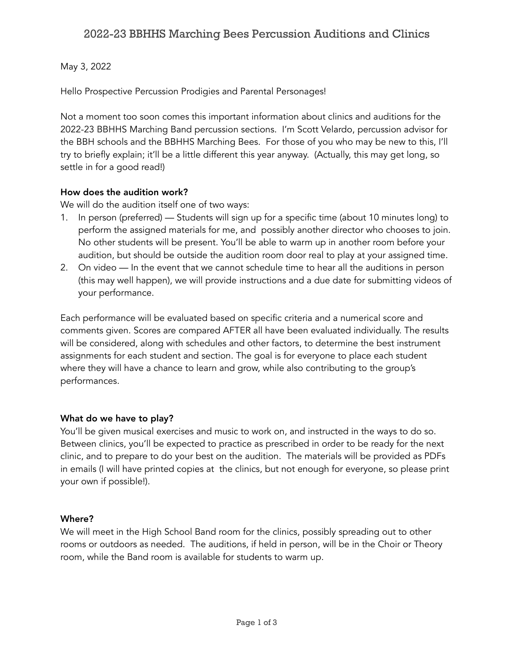## 2022-23 BBHHS Marching Bees Percussion Auditions and Clinics

## May 3, 2022

Hello Prospective Percussion Prodigies and Parental Personages!

Not a moment too soon comes this important information about clinics and auditions for the 2022-23 BBHHS Marching Band percussion sections. I'm Scott Velardo, percussion advisor for the BBH schools and the BBHHS Marching Bees. For those of you who may be new to this, I'll try to briefly explain; it'll be a little different this year anyway. (Actually, this may get long, so settle in for a good read!)

### How does the audition work?

We will do the audition itself one of two ways:

- 1. In person (preferred) Students will sign up for a specific time (about 10 minutes long) to perform the assigned materials for me, and possibly another director who chooses to join. No other students will be present. You'll be able to warm up in another room before your audition, but should be outside the audition room door real to play at your assigned time.
- 2. On video In the event that we cannot schedule time to hear all the auditions in person (this may well happen), we will provide instructions and a due date for submitting videos of your performance.

Each performance will be evaluated based on specific criteria and a numerical score and comments given. Scores are compared AFTER all have been evaluated individually. The results will be considered, along with schedules and other factors, to determine the best instrument assignments for each student and section. The goal is for everyone to place each student where they will have a chance to learn and grow, while also contributing to the group's performances.

## What do we have to play?

You'll be given musical exercises and music to work on, and instructed in the ways to do so. Between clinics, you'll be expected to practice as prescribed in order to be ready for the next clinic, and to prepare to do your best on the audition. The materials will be provided as PDFs in emails (I will have printed copies at the clinics, but not enough for everyone, so please print your own if possible!).

#### Where?

We will meet in the High School Band room for the clinics, possibly spreading out to other rooms or outdoors as needed. The auditions, if held in person, will be in the Choir or Theory room, while the Band room is available for students to warm up.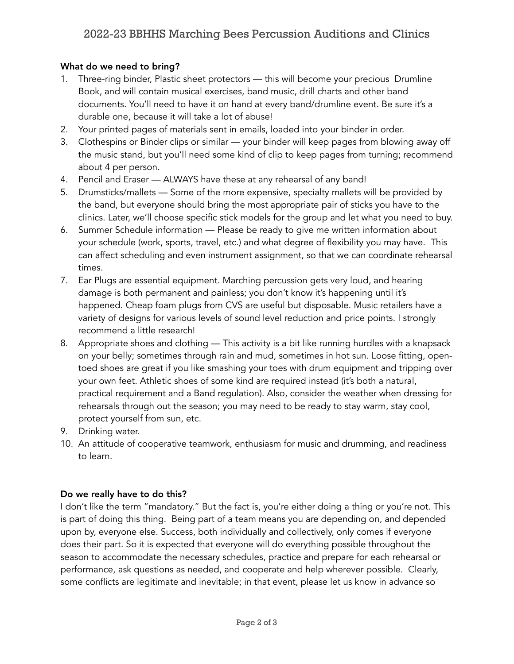## What do we need to bring?

- 1. Three-ring binder, Plastic sheet protectors this will become your precious Drumline Book, and will contain musical exercises, band music, drill charts and other band documents. You'll need to have it on hand at every band/drumline event. Be sure it's a durable one, because it will take a lot of abuse!
- 2. Your printed pages of materials sent in emails, loaded into your binder in order.
- 3. Clothespins or Binder clips or similar your binder will keep pages from blowing away off the music stand, but you'll need some kind of clip to keep pages from turning; recommend about 4 per person.
- 4. Pencil and Eraser ALWAYS have these at any rehearsal of any band!
- 5. Drumsticks/mallets Some of the more expensive, specialty mallets will be provided by the band, but everyone should bring the most appropriate pair of sticks you have to the clinics. Later, we'll choose specific stick models for the group and let what you need to buy.
- 6. Summer Schedule information Please be ready to give me written information about your schedule (work, sports, travel, etc.) and what degree of flexibility you may have. This can affect scheduling and even instrument assignment, so that we can coordinate rehearsal times.
- 7. Ear Plugs are essential equipment. Marching percussion gets very loud, and hearing damage is both permanent and painless; you don't know it's happening until it's happened. Cheap foam plugs from CVS are useful but disposable. Music retailers have a variety of designs for various levels of sound level reduction and price points. I strongly recommend a little research!
- 8. Appropriate shoes and clothing This activity is a bit like running hurdles with a knapsack on your belly; sometimes through rain and mud, sometimes in hot sun. Loose fitting, opentoed shoes are great if you like smashing your toes with drum equipment and tripping over your own feet. Athletic shoes of some kind are required instead (it's both a natural, practical requirement and a Band regulation). Also, consider the weather when dressing for rehearsals through out the season; you may need to be ready to stay warm, stay cool, protect yourself from sun, etc.
- 9. Drinking water.
- 10. An attitude of cooperative teamwork, enthusiasm for music and drumming, and readiness to learn.

## Do we really have to do this?

I don't like the term "mandatory." But the fact is, you're either doing a thing or you're not. This is part of doing this thing. Being part of a team means you are depending on, and depended upon by, everyone else. Success, both individually and collectively, only comes if everyone does their part. So it is expected that everyone will do everything possible throughout the season to accommodate the necessary schedules, practice and prepare for each rehearsal or performance, ask questions as needed, and cooperate and help wherever possible. Clearly, some conflicts are legitimate and inevitable; in that event, please let us know in advance so